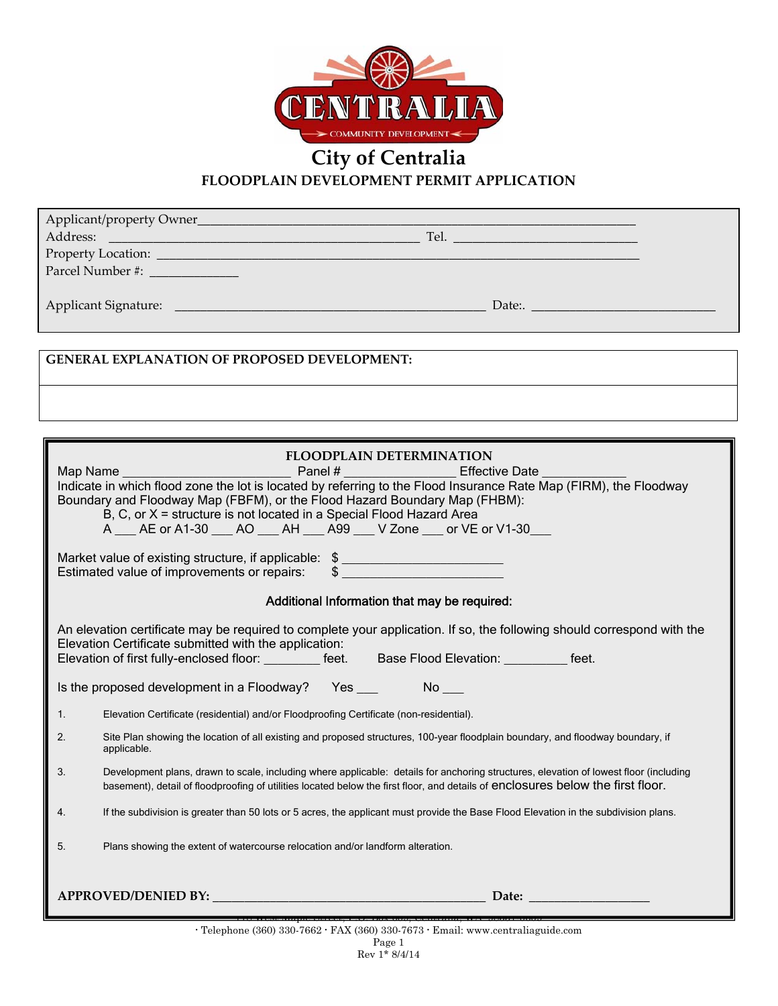

## **City of Centralia FLOODPLAIN DEVELOPMENT PERMIT APPLICATION**

| Parcel Number #: ______________                                                                                                                                                 |  |
|---------------------------------------------------------------------------------------------------------------------------------------------------------------------------------|--|
|                                                                                                                                                                                 |  |
|                                                                                                                                                                                 |  |
|                                                                                                                                                                                 |  |
|                                                                                                                                                                                 |  |
| <b>GENERAL EXPLANATION OF PROPOSED DEVELOPMENT:</b>                                                                                                                             |  |
|                                                                                                                                                                                 |  |
|                                                                                                                                                                                 |  |
|                                                                                                                                                                                 |  |
|                                                                                                                                                                                 |  |
| <b>FLOODPLAIN DETERMINATION</b>                                                                                                                                                 |  |
|                                                                                                                                                                                 |  |
| Indicate in which flood zone the lot is located by referring to the Flood Insurance Rate Map (FIRM), the Floodway                                                               |  |
| Boundary and Floodway Map (FBFM), or the Flood Hazard Boundary Map (FHBM):<br>B, C, or X = structure is not located in a Special Flood Hazard Area                              |  |
| A ___ AE or A1-30 ___ AO ___ AH ___ A99 ___ V Zone ___ or VE or V1-30 ___                                                                                                       |  |
|                                                                                                                                                                                 |  |
| Market value of existing structure, if applicable: \$                                                                                                                           |  |
| Estimated value of improvements or repairs: \$                                                                                                                                  |  |
| Additional Information that may be required:                                                                                                                                    |  |
|                                                                                                                                                                                 |  |
| An elevation certificate may be required to complete your application. If so, the following should correspond with the<br>Elevation Certificate submitted with the application: |  |
| Elevation of first fully-enclosed floor: _________ feet. Base Flood Elevation: _________ feet.                                                                                  |  |
|                                                                                                                                                                                 |  |
| Is the proposed development in a Floodway? Yes __________________________________                                                                                               |  |
| 1.<br>Elevation Certificate (residential) and/or Floodproofing Certificate (non-residential).                                                                                   |  |
|                                                                                                                                                                                 |  |
| Site Plan showing the location of all existing and proposed structures, 100-year floodplain boundary, and floodway boundary, if<br>2.<br>applicable.                            |  |
| Development plans, drawn to scale, including where applicable: details for anchoring structures, elevation of lowest floor (including<br>3.                                     |  |
| basement), detail of floodproofing of utilities located below the first floor, and details of enclosures below the first floor.                                                 |  |
| If the subdivision is greater than 50 lots or 5 acres, the applicant must provide the Base Flood Elevation in the subdivision plans.                                            |  |
|                                                                                                                                                                                 |  |
| Plans showing the extent of watercourse relocation and/or landform alteration.<br>5.                                                                                            |  |
|                                                                                                                                                                                 |  |
| Date:                                                                                                                                                                           |  |
|                                                                                                                                                                                 |  |

Rev 1\* 8/4/14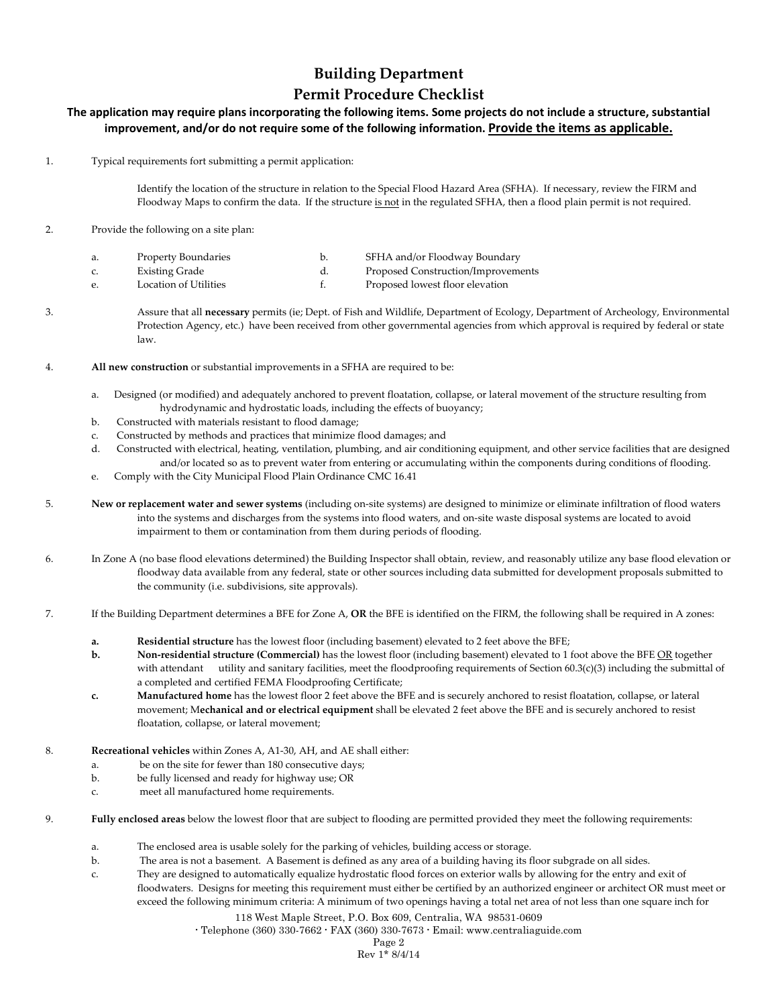## **Building Department Permit Procedure Checklist**

## The application may require plans incorporating the following items. Some projects do not include a structure, substantial **improvement, and/or do not require some of the following information. Provide the items as applicable.**

1. Typical requirements fort submitting a permit application:

Identify the location of the structure in relation to the Special Flood Hazard Area (SFHA). If necessary, review the FIRM and Floodway Maps to confirm the data. If the structure is not in the regulated SFHA, then a flood plain permit is not required.

2. Provide the following on a site plan:

| a. | Property Boundaries   | SFHA and/or Floodway Boundary      |
|----|-----------------------|------------------------------------|
|    | <b>Existing Grade</b> | Proposed Construction/Improvements |

e. Location of Utilities **1. Community Example 1** Constants for Proposed lowest floor elevation

3. Assure that all **necessary** permits (ie; Dept. of Fish and Wildlife, Department of Ecology, Department of Archeology, Environmental Protection Agency, etc.) have been received from other governmental agencies from which approval is required by federal or state law.

- 4. **All new construction** or substantial improvements in a SFHA are required to be:
	- a. Designed (or modified) and adequately anchored to prevent floatation, collapse, or lateral movement of the structure resulting from hydrodynamic and hydrostatic loads, including the effects of buoyancy;
	- b. Constructed with materials resistant to flood damage;
	- c. Constructed by methods and practices that minimize flood damages; and
	- d. Constructed with electrical, heating, ventilation, plumbing, and air conditioning equipment, and other service facilities that are designed and/or located so as to prevent water from entering or accumulating within the components during conditions of flooding.
	- e. Comply with the City Municipal Flood Plain Ordinance CMC 16.41
- 5. **New or replacement water and sewer systems** (including on‐site systems) are designed to minimize or eliminate infiltration of flood waters into the systems and discharges from the systems into flood waters, and on‐site waste disposal systems are located to avoid impairment to them or contamination from them during periods of flooding.
- 6. In Zone A (no base flood elevations determined) the Building Inspector shall obtain, review, and reasonably utilize any base flood elevation or floodway data available from any federal, state or other sources including data submitted for development proposals submitted to the community (i.e. subdivisions, site approvals).
- 7. If the Building Department determines a BFE for Zone A, **OR** the BFE is identified on the FIRM, the following shall be required in A zones:
	- **a. Residential structure** has the lowest floor (including basement) elevated to 2 feet above the BFE;

**b. Non‐residential structure (Commercial)** has the lowest floor (including basement) elevated to 1 foot above the BFE OR together with attendant utility and sanitary facilities, meet the floodproofing requirements of Section 60.3(c)(3) including the submittal of a completed and certified FEMA Floodproofing Certificate;

- **c. Manufactured home** has the lowest floor 2 feet above the BFE and is securely anchored to resist floatation, collapse, or lateral movement; M**echanical and or electrical equipment** shall be elevated 2 feet above the BFE and is securely anchored to resist floatation, collapse, or lateral movement;
- 8. **Recreational vehicles** within Zones A, A1‐30, AH, and AE shall either:
	- a. be on the site for fewer than 180 consecutive days;
	- b. be fully licensed and ready for highway use; OR
	- c. meet all manufactured home requirements.
- 9. **Fully enclosed areas** below the lowest floor that are subject to flooding are permitted provided they meet the following requirements:
	- a. The enclosed area is usable solely for the parking of vehicles, building access or storage.
	- b. The area is not a basement. A Basement is defined as any area of a building having its floor subgrade on all sides.
	- c. They are designed to automatically equalize hydrostatic flood forces on exterior walls by allowing for the entry and exit of floodwaters. Designs for meeting this requirement must either be certified by an authorized engineer or architect OR must meet or exceed the following minimum criteria: A minimum of two openings having a total net area of not less than one square inch for
		- 118 West Maple Street, P.O. Box 609, Centralia, WA 98531-0609

**·** Telephone (360) 330-7662 **·** FAX (360) 330-7673 **·** Email: www.centraliaguide.com

Page 2

Rev 1\* 8/4/14